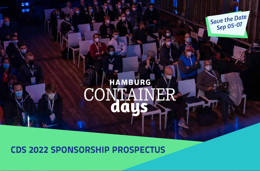

## **CDS 2022 SPONSORSHIP PROSPECTUS**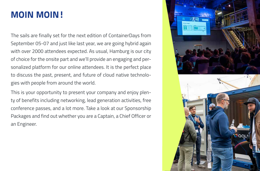# **MOIN MOIN!**

The sails are finally set for the next edition of ContainerDays from September 05-07 and just like last year, we are going hybrid again with over 2000 attendees expected. As usual, Hamburg is our city of choice for the onsite part and we'll provide an engaging and personalized platform for our online attendees. It is the perfect place to discuss the past, present, and future of cloud native technologies with people from around the world.

This is your opportunity to present your company and enjoy plenty of benefits including networking, lead generation activities, free conference passes, and a lot more. Take a look at our Sponsorship Packages and find out whether you are a Captain, a Chief Officer or an Engineer.

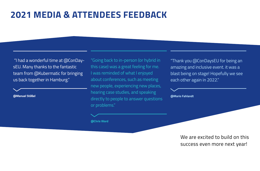## **2021 MEDIA & ATTENDEES FEEDBACK**

 "I had a wonderful time at @ConDaysEU. Many thanks to the fantastic team from @Kubermatic for bringing us back together in Hamburg."

**@Manuel Stößel**

"Going back to in-person (or hybrid in this case) was a great feeling for me. I was reminded of what I enjoyed about conferences, such as meeting new people, experiencing new places, hearing case studies, and speaking directly to people to answer questions or problems."

**@Chris Ward**

"Thank you @ConDaysEU for being an amazing and inclusive event. it was a blast being on stage! Hopefully we see each other again in 2022."

**@Mario Fahlandt**

We are excited to build on this success even more next year!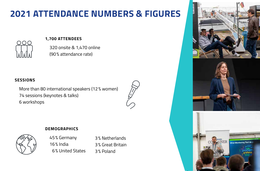# **2021 ATTENDANCE NUMBERS & FIGURES**



### **1,700 ATTENDEES**

320 onsite & 1,470 online (90% attendance rate)

## **SESSIONS**

More than 80 international speakers (12% women) 74 sessions (keynotes & talks) 6 workshops



## **DEMOGRAPHICS**



45% Germany 16% India 6% United States

3% Netherlands 3% Great Britain 3% Poland

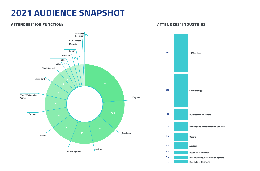# **2021 AUDIENCE SNAPSHOT**

#### **ATTENDEES' JOB FUNCTION:**



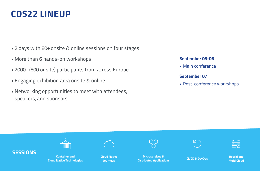# **CDS22 LINEUP**

- 2 days with 80+ onsite & online sessions on four stages
- •More than 6 hands-on workshops
- 2000+ (800 onsite) participants from across Europe
- •Engaging exhibition area onsite & online
- •Networking opportunities to meet with attendees, speakers, and sponsors

## **September 05-06**

• Main conference

## **September 07**

• Post-conference workshops

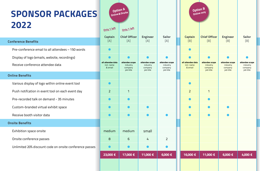# **SPONSOR PACKAGES**

| 2022                                                    |                                            |                                                    |                                                    |                                                    |                                            |                                                    |                                                    |                                                    |
|---------------------------------------------------------|--------------------------------------------|----------------------------------------------------|----------------------------------------------------|----------------------------------------------------|--------------------------------------------|----------------------------------------------------|----------------------------------------------------|----------------------------------------------------|
|                                                         | Only 1 left                                | Only 1 left                                        |                                                    |                                                    |                                            |                                                    |                                                    |                                                    |
|                                                         | Captain                                    | <b>Chief Officer</b>                               | <b>Engineer</b>                                    | <b>Sailor</b>                                      | <b>Captain</b>                             | <b>Chief Officer</b>                               | <b>Engineer</b>                                    | <b>Sailor</b>                                      |
| <b>Conference Benefits</b>                              | [A]                                        | [A]                                                | [A]                                                | $[{\sf A}]$                                        | [B]                                        | [B]                                                | [B]                                                | [B]                                                |
| Pre-conference email to all attendees - 150 words       |                                            |                                                    |                                                    |                                                    |                                            |                                                    |                                                    |                                                    |
| Display of logo (emails, website, recordings)           |                                            |                                                    |                                                    |                                                    |                                            |                                                    | $\bullet$                                          |                                                    |
| Receive conference attendee data                        | all attendee data<br>incl. name<br>& email | attendee scope<br>industry<br>company<br>job title | attendee scope<br>industry<br>company<br>job title | attendee scope<br>industry<br>company<br>job title | all attendee data<br>incl. name<br>& email | attendee scope<br>industry<br>company<br>job title | attendee scope<br>industry<br>company<br>job title | attendee scope<br>industry<br>company<br>job title |
| <b>Online Benefits</b>                                  |                                            |                                                    |                                                    |                                                    |                                            |                                                    |                                                    |                                                    |
| Various display of logo within online event tool        | $\bullet$                                  |                                                    |                                                    |                                                    |                                            |                                                    |                                                    |                                                    |
| Push notifcation in event tool on each event day        | $\overline{2}$                             | $\mathbf{1}$                                       |                                                    |                                                    | $\overline{2}$                             | $\mathbf{1}$                                       |                                                    |                                                    |
| Pre-recorded talk on demand - 35 minutes                | $\sqrt{2}$                                 | $\bullet$                                          |                                                    |                                                    |                                            |                                                    |                                                    |                                                    |
| Custom-branded virtual exhibit space                    |                                            | $\bullet$                                          |                                                    |                                                    |                                            |                                                    |                                                    |                                                    |
| Receive booth visitor data                              | x                                          | $\bullet$                                          |                                                    |                                                    |                                            |                                                    |                                                    |                                                    |
| <b>Onsite Benefits</b>                                  |                                            |                                                    |                                                    |                                                    |                                            |                                                    |                                                    |                                                    |
| Exhibition space onsite                                 | medium                                     | medium                                             | small                                              |                                                    |                                            |                                                    |                                                    |                                                    |
| Onsite conference passes                                | 8                                          | 6                                                  | 4                                                  | $\overline{2}$                                     |                                            |                                                    |                                                    |                                                    |
| Unlimited 20% discount code on onsite conference passes | C                                          | $\bullet$                                          | $\bullet$                                          |                                                    |                                            |                                                    |                                                    |                                                    |
|                                                         | 23,000 €                                   | 17,000 €                                           | 11,000 €                                           | 6,000 €                                            | 16,000 €                                   | 11,000 €                                           | 6,000 €                                            | 4,000 €                                            |
|                                                         |                                            |                                                    |                                                    |                                                    |                                            |                                                    |                                                    |                                                    |

**Option A Online&Onsite** **Option B Online only**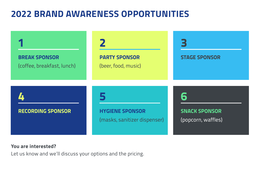# **2022 BRAND AWARENESS OPPORTUNITIES**



## **You are interested?**

Let us know and we'll discuss your options and the pricing.